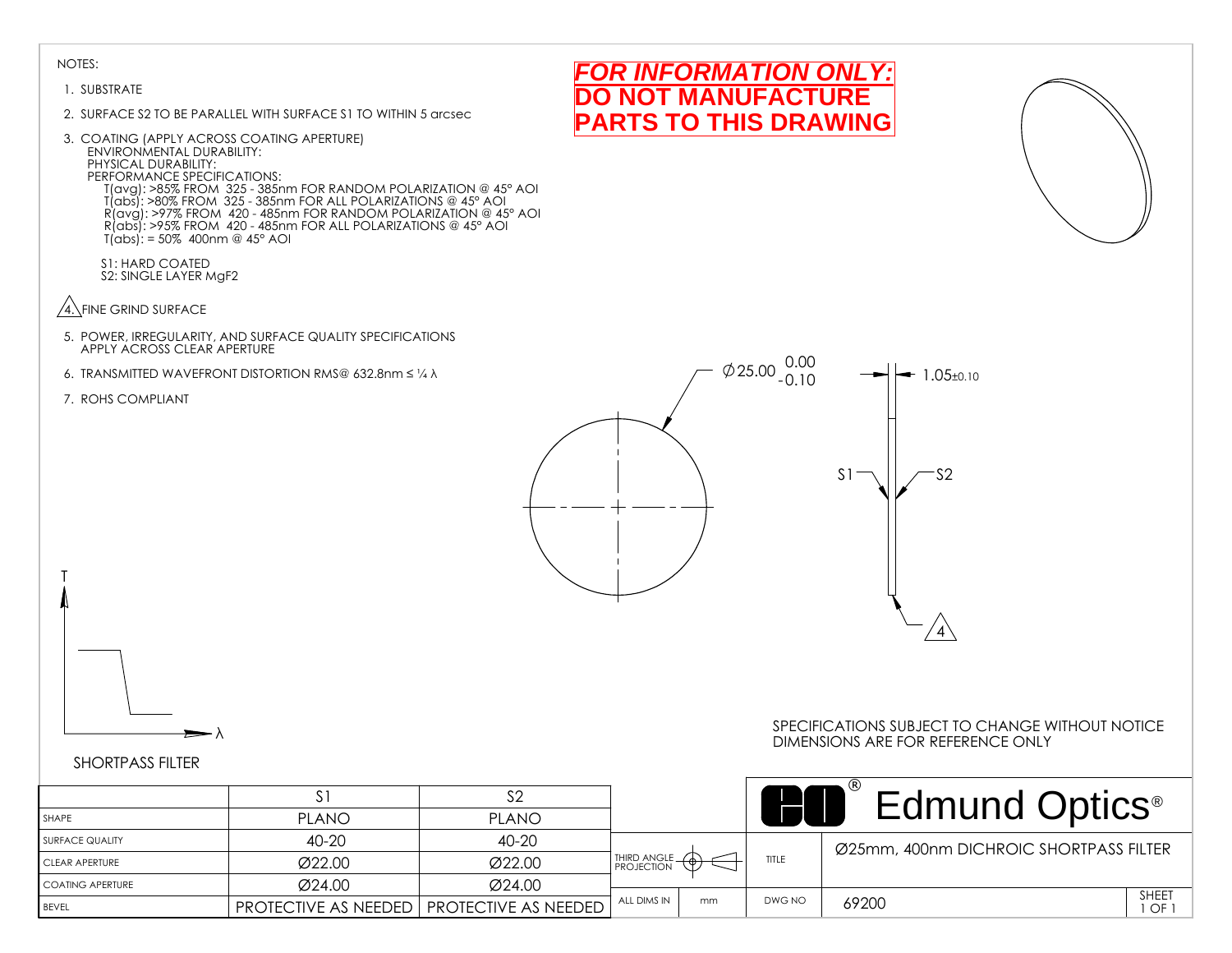#### 1. SUBSTRATE

- 2. SURFACE S2 TO BE PARALLEL WITH SURFACE S1 TO WITHIN 5 arcsec
- 3. COATING (APPLY ACROSS COATING APERTURE) ENVIRONMENTAL DURABILITY: PHYSICAL DURABILITY: PERFORMANCE SPECIFICATIONS: T(avg): >85% FROM 325 - 385nm FOR RANDOM POLARIZATION @ 45° AOI T(abs): >80% FROM 325 - 385nm FOR ALL POLARIZATIONS @ 45° AOI R(avg): >97% FROM 420 - 485nm FOR RANDOM POLARIZATION @ 45° AOI R(abs): >95% FROM 420 - 485nm FOR ALL POLARIZATIONS @ 45° AOI  $T(abs)$ : = 50% 400nm @ 45° AOI

S1: HARD COATED S2: SINGLE LAYER MgF2

- $\sqrt{4}$ . FINE GRIND SURFACE
- 5. POWER, IRREGULARITY, AND SURFACE QUALITY SPECIFICATIONS APPLY ACROSS CLEAR APERTURE
- 6. TRANSMITTED WAVEFRONT DISTORTION RMS@ 632.8nm ≤ ¼ λ
- 7. ROHS COMPLIANT

T



*FOR INFORMATION ONLY:* **NOT MANUFACTURE PARTS TO THIS DRAWING**

# λ

#### SPECIFICATIONS SUBJECT TO CHANGE WITHOUT NOTICE DIMENSIONS ARE FOR REFERENCE ONLY

|                    | $\mathcal{L}_1$                                    |              |                             |    |        | <b>Edmund Optics</b> <sup>®</sup>      |             |
|--------------------|----------------------------------------------------|--------------|-----------------------------|----|--------|----------------------------------------|-------------|
| l SHAPE            | <b>PLANO</b>                                       | <b>PLANO</b> |                             |    |        |                                        |             |
| I SURFACE QUALITY  | 40-20                                              | 40-20        |                             |    |        | Ø25mm, 400nm DICHROIC SHORTPASS FILTER |             |
| I CLEAR APERTURE   | Ø22.00                                             | Ø22.00       | THIRD ANGLE _<br>PROJECTION |    | TITLE  |                                        |             |
| I COATING APERTURE | $\varnothing$ 24.00                                | Ø24.00       |                             |    |        |                                        |             |
| <b>BEVEL</b>       | <b>PROTECTIVE AS NEEDED   PROTECTIVE AS NEEDED</b> |              | ALL DIMS IN                 | mm | DWG NO | 69200                                  | SHEET<br>OF |

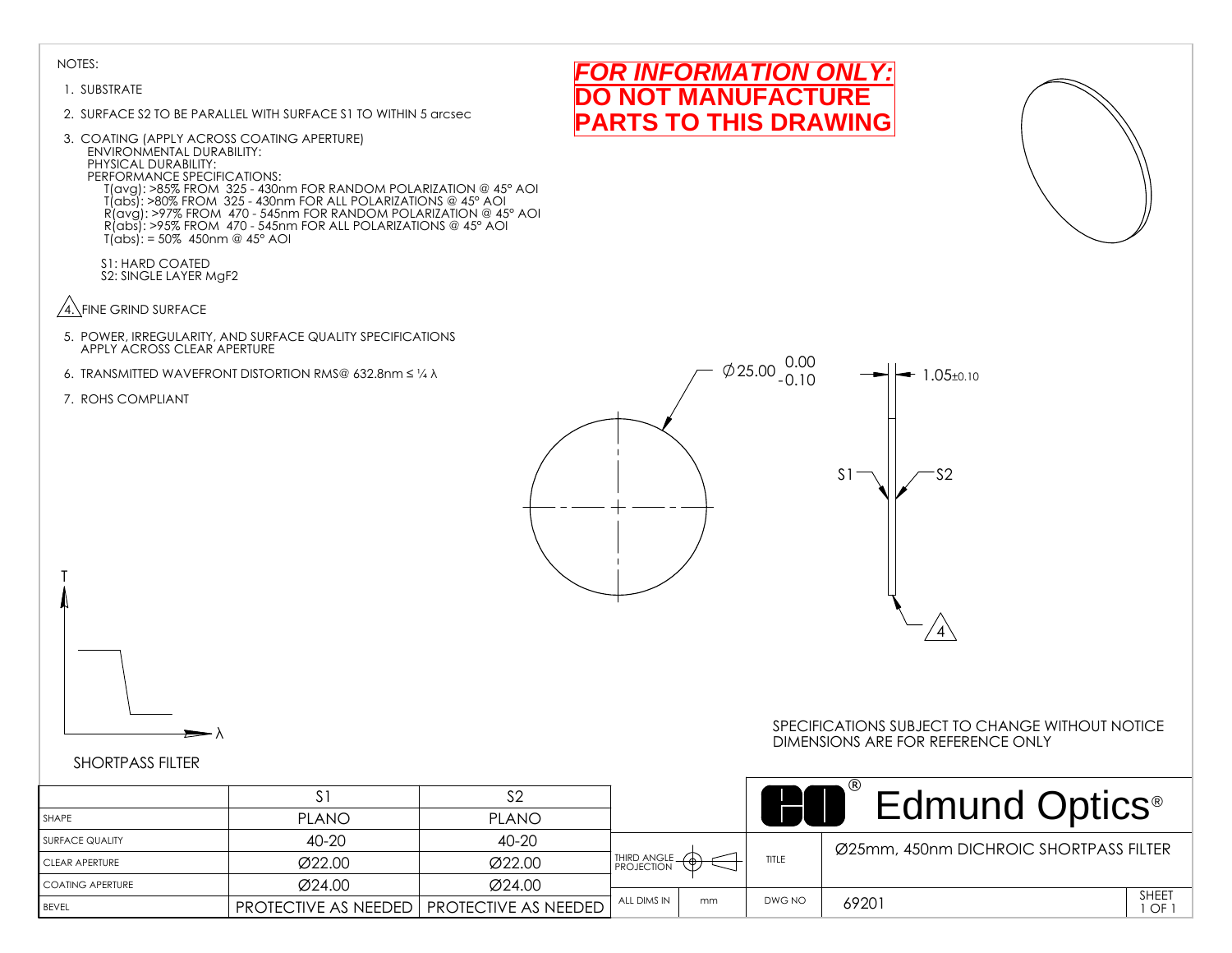#### 1. SUBSTRATE

- 2. SURFACE S2 TO BE PARALLEL WITH SURFACE S1 TO WITHIN 5 arcsec
- 3. COATING (APPLY ACROSS COATING APERTURE) ENVIRONMENTAL DURABILITY: PHYSICAL DURABILITY: PERFORMANCE SPECIFICATIONS: T(avg): >85% FROM 325 - 430nm FOR RANDOM POLARIZATION @ 45° AOI T(abs): >80% FROM 325 - 430nm FOR ALL POLARIZATIONS @ 45° AOI R(avg): >97% FROM 470 - 545nm FOR RANDOM POLARIZATION @ 45° AOI R(abs): >95% FROM 470 - 545nm FOR ALL POLARIZATIONS @ 45° AOI T(abs): = 50% 450nm @ 45° AOI
	- S1: HARD COATED S2: SINGLE LAYER MgF2
- $\sqrt{4}$ . FINE GRIND SURFACE
- 5. POWER, IRREGULARITY, AND SURFACE QUALITY SPECIFICATIONS APPLY ACROSS CLEAR APERTURE
- 6. TRANSMITTED WAVEFRONT DISTORTION RMS@ 632.8nm ≤ ¼ λ
- 7. ROHS COMPLIANT

T



*FOR INFORMATION ONLY:* **NOT MANUFACTURE PARTS TO THIS DRAWING**

## λ

#### SPECIFICATIONS SUBJECT TO CHANGE WITHOUT NOTICE DIMENSIONS ARE FOR REFERENCE ONLY

|                    |                             |                             |                   |        | <b>Edmund Optics</b> <sup>®</sup>      |                    |
|--------------------|-----------------------------|-----------------------------|-------------------|--------|----------------------------------------|--------------------|
| <b>SHAPE</b>       | <b>PLANO</b>                | <b>PLANO</b>                |                   |        |                                        |                    |
| SURFACE QUALITY    | $40 - 20$                   | 40-20                       |                   |        | Ø25mm, 450nm DICHROIC SHORTPASS FILTER |                    |
| CLEAR APERTURE     | Ø22.00                      | Ø22.00                      | THIRD ANGLE.      | TITLE  |                                        |                    |
| I COATING APERTURE | Ø24.00                      | Ø24.00                      |                   |        |                                        |                    |
| <b>BEVEL</b>       | <b>PROTECTIVE AS NEEDED</b> | <b>PROTECTIVE AS NEEDED</b> | ALL DIMS IN<br>mm | DWG NO | 69201                                  | <b>SHEET</b><br>OF |

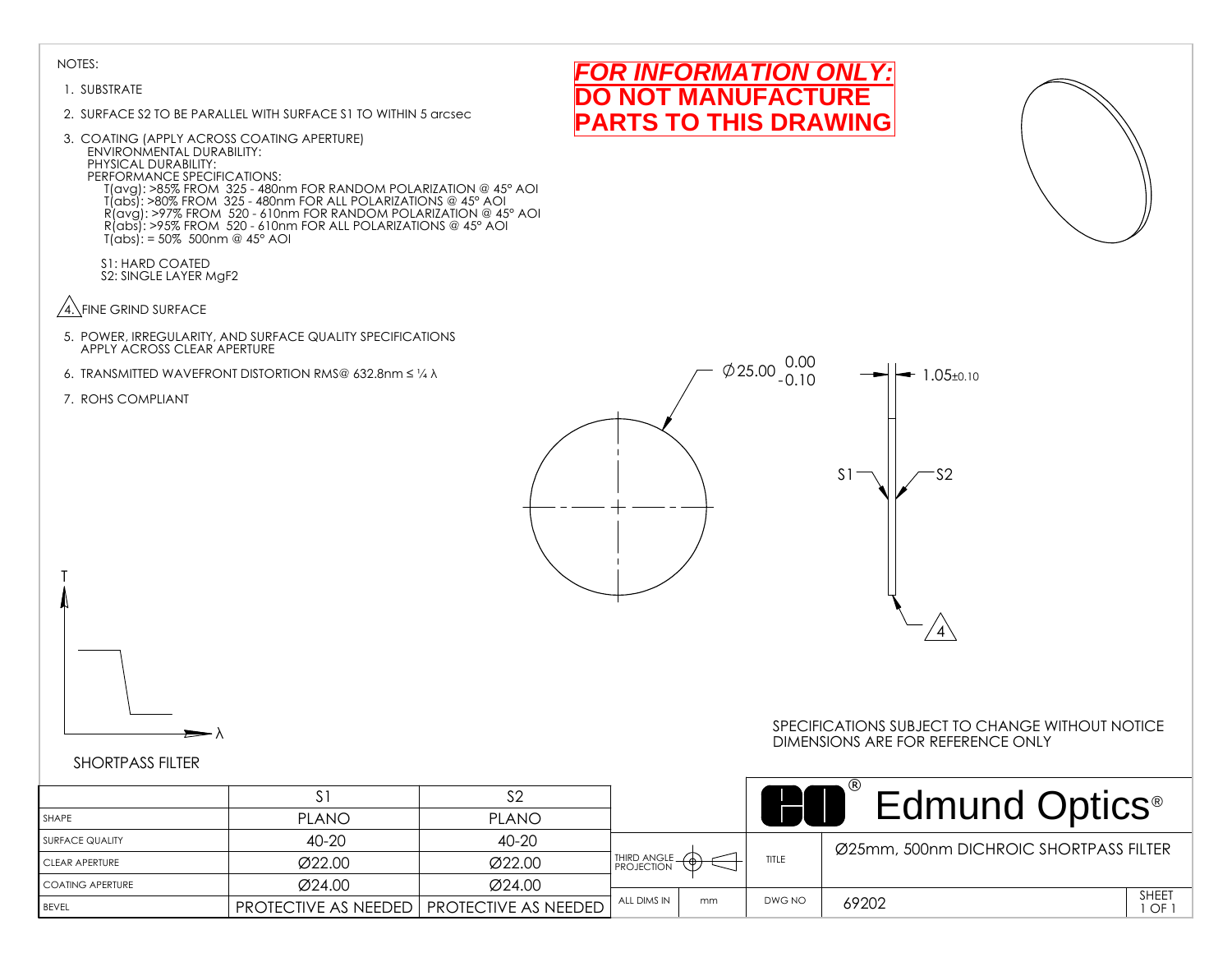#### 1. SUBSTRATE

- 2. SURFACE S2 TO BE PARALLEL WITH SURFACE S1 TO WITHIN 5 arcsec
- 3. COATING (APPLY ACROSS COATING APERTURE) ENVIRONMENTAL DURABILITY: PHYSICAL DURABILITY: PERFORMANCE SPECIFICATIONS: T(avg): >85% FROM 325 - 480nm FOR RANDOM POLARIZATION @ 45° AOI T(abs): >80% FROM 325 - 480nm FOR ALL POLARIZATIONS @ 45° AOI R(avg): >97% FROM 520 - 610nm FOR RANDOM POLARIZATION @ 45° AOI R(abs): >95% FROM 520 - 610nm FOR ALL POLARIZATIONS @ 45° AOI T(abs): = 50% 500nm @ 45° AOI
	- S1: HARD COATED S2: SINGLE LAYER MgF2
- $\sqrt{4}$ . FINE GRIND SURFACE
- 5. POWER, IRREGULARITY, AND SURFACE QUALITY SPECIFICATIONS APPLY ACROSS CLEAR APERTURE
- 6. TRANSMITTED WAVEFRONT DISTORTION RMS@ 632.8nm ≤ ¼ λ
- 7. ROHS COMPLIANT

T



*FOR INFORMATION ONLY:* **NOT MANUFACTURE PARTS TO THIS DRAWING**

## λ

#### SPECIFICATIONS SUBJECT TO CHANGE WITHOUT NOTICE DIMENSIONS ARE FOR REFERENCE ONLY

|                    | . ت                 |                                                    |             |    |              | <b>Edmund Optics</b> <sup>®</sup>      |               |
|--------------------|---------------------|----------------------------------------------------|-------------|----|--------------|----------------------------------------|---------------|
| l SHAPE            | <b>PLANO</b>        | <b>PLANO</b>                                       |             |    |              |                                        |               |
| I SURFACE QUALITY  | 40-20               | $40 - 20$                                          |             |    |              | Ø25mm, 500nm DICHROIC SHORTPASS FILTER |               |
| I CLEAR APERTURE   | Ø22.00              | Ø22.00                                             | THIRD ANGLE |    | <b>TITLE</b> |                                        |               |
| I COATING APERTURE | $\varnothing$ 24.00 | Ø24.00                                             |             |    |              |                                        |               |
| <b>BEVEL</b>       |                     | <b>PROTECTIVE AS NEEDED   PROTECTIVE AS NEEDED</b> | ALL DIMS IN | mm | DWG NO       | 69202                                  | SHEET<br>1 OF |

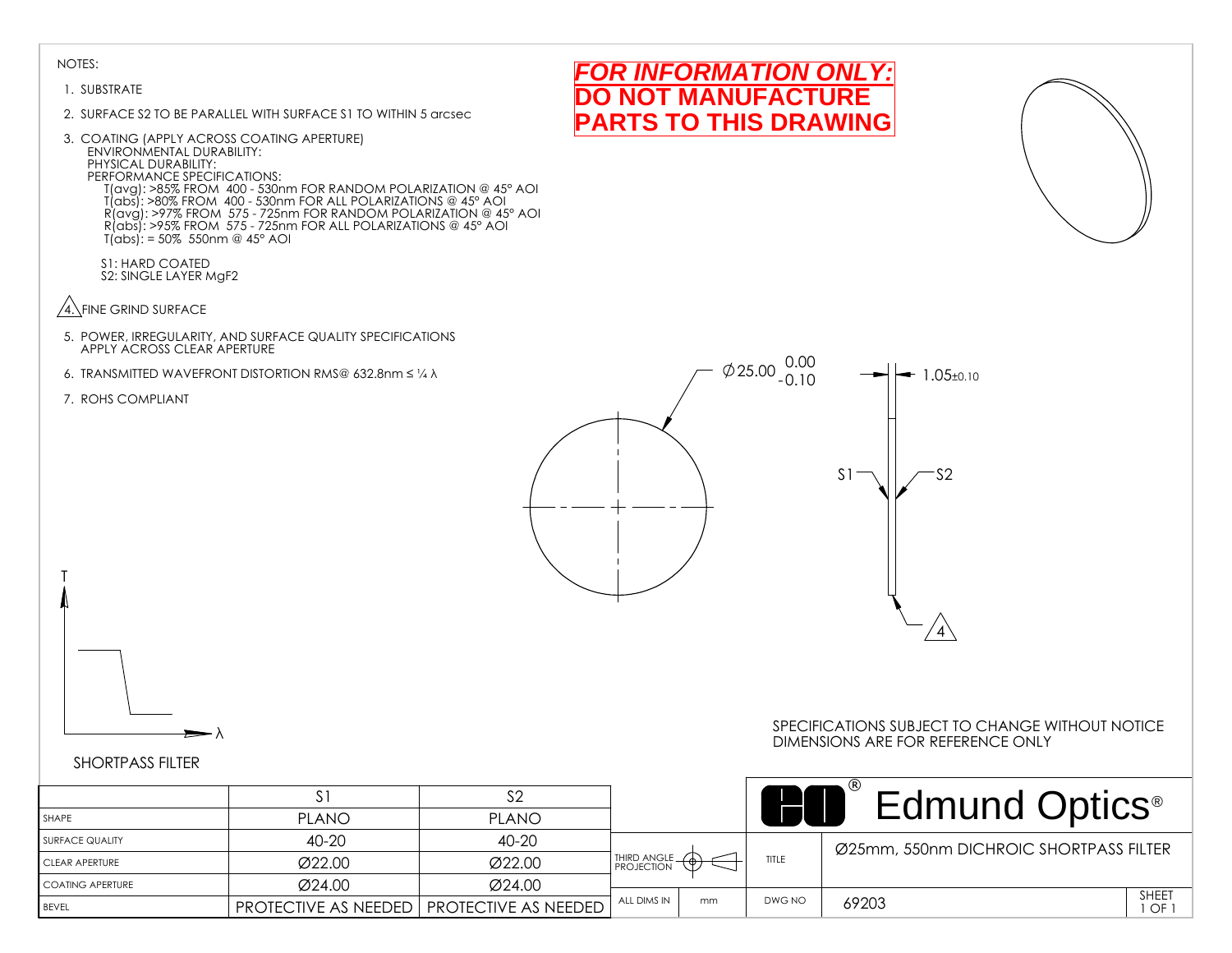#### 1. SUBSTRATE

- 2. SURFACE S2 TO BE PARALLEL WITH SURFACE S1 TO WITHIN 5 arcsec
- 3. COATING (APPLY ACROSS COATING APERTURE) ENVIRONMENTAL DURABILITY: PHYSICAL DURABILITY: PERFORMANCE SPECIFICATIONS: T(avg): >85% FROM 400 - 530nm FOR RANDOM POLARIZATION @ 45° AOI T(abs): >80% FROM 400 - 530nm FOR ALL POLARIZATIONS @ 45° AOI R(avg): >97% FROM 575 - 725nm FOR RANDOM POLARIZATION @ 45° AOI R(abs): >95% FROM 575 - 725nm FOR ALL POLARIZATIONS @ 45° AOI T(abs): = 50% 550nm @ 45° AOI

S1: HARD COATED S2: SINGLE LAYER MgF2

- $\sqrt{4}$ . FINE GRIND SURFACE
- 5. POWER, IRREGULARITY, AND SURFACE QUALITY SPECIFICATIONS APPLY ACROSS CLEAR APERTURE
- 6. TRANSMITTED WAVEFRONT DISTORTION RMS@ 632.8nm ≤ ¼ λ
- 7. ROHS COMPLIANT

T



*FOR INFORMATION ONLY:* **NOT MANUFACTURE PARTS TO THIS DRAWING**

λ

#### SPECIFICATIONS SUBJECT TO CHANGE WITHOUT NOTICE DIMENSIONS ARE FOR REFERENCE ONLY

|                    |              |                                             |               |    |        | <b>Edmund Optics</b> <sup>®</sup>      |
|--------------------|--------------|---------------------------------------------|---------------|----|--------|----------------------------------------|
| <b>SHAPE</b>       | <b>PLANO</b> | <b>PLANO</b>                                |               |    |        |                                        |
| I SURFACE QUALITY  | 40-20        | 40-20                                       |               |    |        | Ø25mm, 550nm DICHROIC SHORTPASS FILTER |
| I CLEAR APERTURE   | Ø22.00       | Ø22.00                                      | THIRD ANGLE - |    | TITLE  |                                        |
| I COATING APERTURE | Ø24.00       | Ø24.00                                      |               |    |        |                                        |
| <b>BEVEL</b>       |              | PROTECTIVE AS NEEDED   PROTECTIVE AS NEEDED | ALL DIMS IN   | mm | DWG NO | <b>SHEET</b><br>69203<br>OF            |

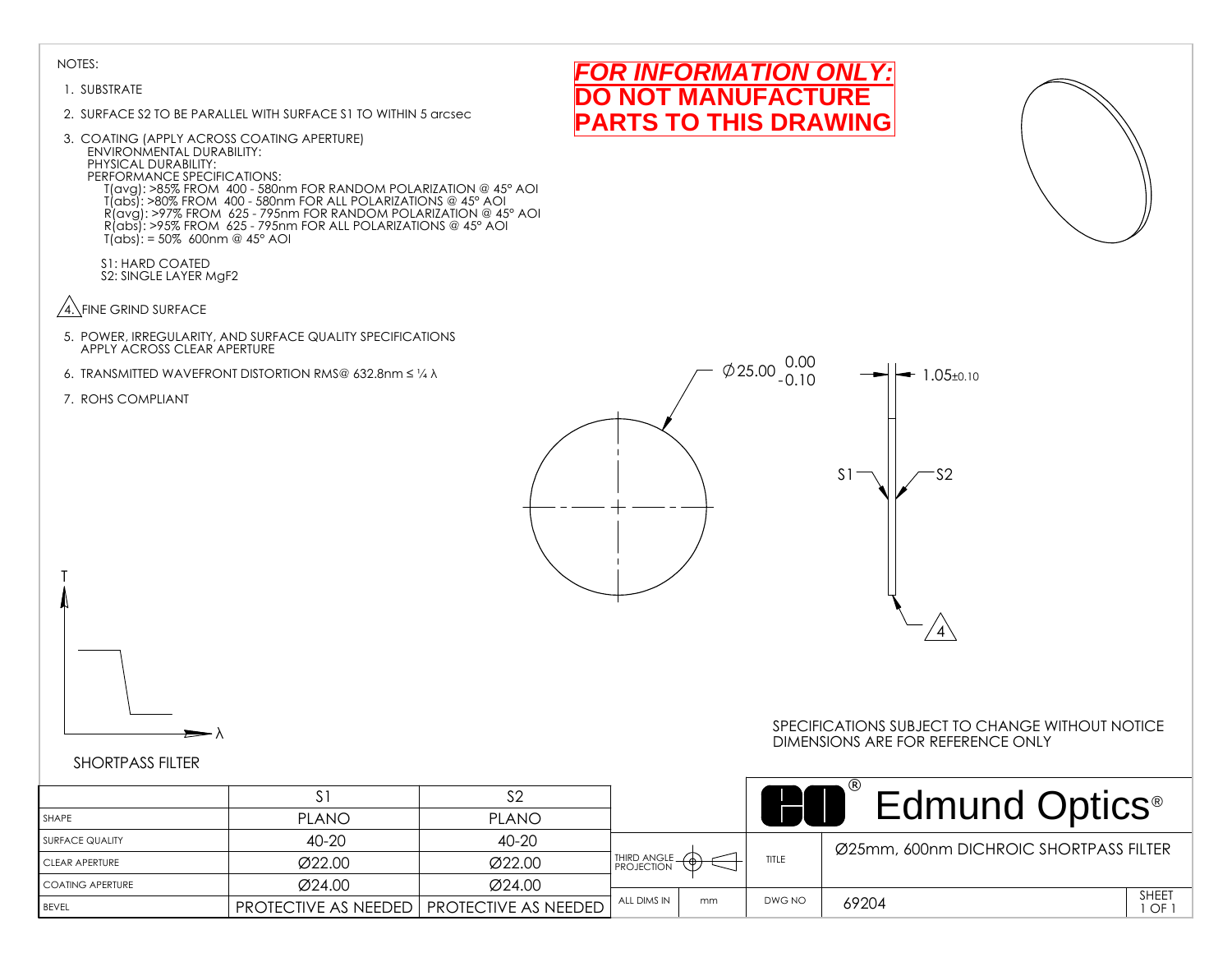#### 1. SUBSTRATE

- 2. SURFACE S2 TO BE PARALLEL WITH SURFACE S1 TO WITHIN 5 arcsec
- 3. COATING (APPLY ACROSS COATING APERTURE) ENVIRONMENTAL DURABILITY: PHYSICAL DURABILITY: PERFORMANCE SPECIFICATIONS: T(avg): >85% FROM 400 - 580nm FOR RANDOM POLARIZATION @ 45° AOI T(abs): >80% FROM 400 - 580nm FOR ALL POLARIZATIONS @ 45° AOI R(avg): >97% FROM 625 - 795nm FOR RANDOM POLARIZATION @ 45° AOI R(abs): >95% FROM 625 - 795nm FOR ALL POLARIZATIONS @ 45° AOI T(abs): = 50% 600nm @ 45° AOI

S1: HARD COATED S2: SINGLE LAYER MgF2

- $\sqrt{4}$ . FINE GRIND SURFACE
- 5. POWER, IRREGULARITY, AND SURFACE QUALITY SPECIFICATIONS APPLY ACROSS CLEAR APERTURE
- 6. TRANSMITTED WAVEFRONT DISTORTION RMS@ 632.8nm ≤ ¼ λ
- 7. ROHS COMPLIANT

T



*FOR INFORMATION ONLY:* **NOT MANUFACTURE PARTS TO THIS DRAWING**

#### SHORTPASS FILTER

λ

#### SPECIFICATIONS SUBJECT TO CHANGE WITHOUT NOTICE DIMENSIONS ARE FOR REFERENCE ONLY

|                   |                             |                             |               |    |        | Edmund Optics <sup>®</sup>             |
|-------------------|-----------------------------|-----------------------------|---------------|----|--------|----------------------------------------|
| SHAPE             | <b>PLANO</b>                | <b>PLANO</b>                |               |    |        |                                        |
| I SURFACE QUALITY | 40-20                       | 40-20                       |               |    |        | Ø25mm, 600nm DICHROIC SHORTPASS FILTER |
| CLEAR APERTURE    | Ø22.00                      | Ø22.00                      | THIRD ANGLE - |    | TITLE  |                                        |
| COATING APERTURE  | Ø24.00                      | Ø24.00                      |               |    |        |                                        |
| <b>BEVEL</b>      | <b>PROTECTIVE AS NEEDED</b> | <b>PROTECTIVE AS NEEDED</b> | ALL DIMS IN   | mm | DWG NO | SHEET<br>69204<br>I OF I               |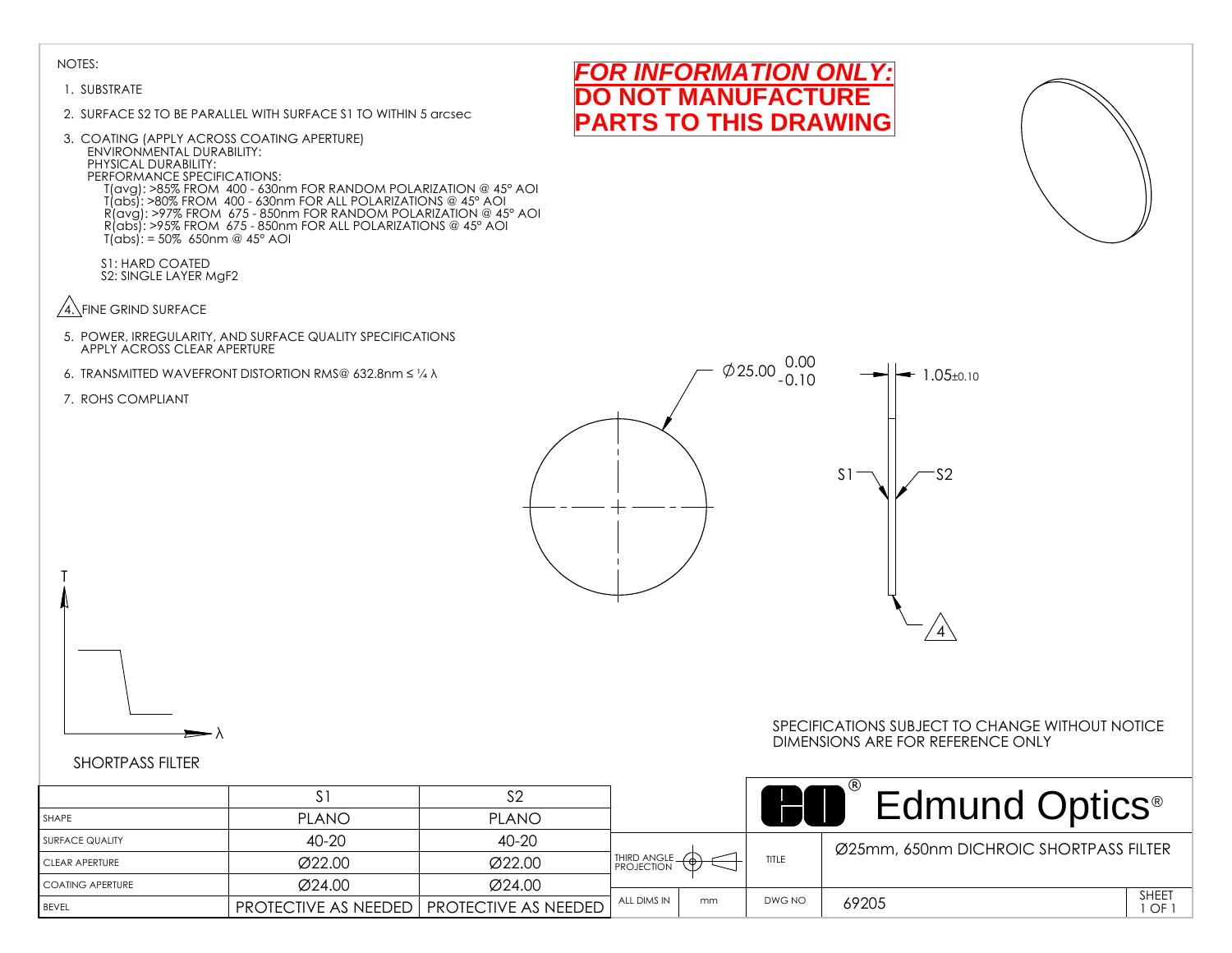#### 1. SUBSTRATE

- 2. SURFACE S2 TO BE PARALLEL WITH SURFACE S1 TO WITHIN 5 arcsec
- 3. COATING (APPLY ACROSS COATING APERTURE) ENVIRONMENTAL DURABILITY: PHYSICAL DURABILITY: PERFORMANCE SPECIFICATIONS: T(avg): >85% FROM 400 - 630nm FOR RANDOM POLARIZATION @ 45° AOI T(abs): >80% FROM 400 - 630nm FOR ALL POLARIZATIONS @ 45° AOI R(avg): >97% FROM 675 - 850nm FOR RANDOM POLARIZATION @ 45° AOI R(abs): >95% FROM 675 - 850nm FOR ALL POLARIZATIONS @ 45° AOI T(abs): = 50% 650nm @ 45° AOI
	- S1: HARD COATED S2: SINGLE LAYER MgF2
- $\sqrt{4}$ . FINE GRIND SURFACE
- 5. POWER, IRREGULARITY, AND SURFACE QUALITY SPECIFICATIONS APPLY ACROSS CLEAR APERTURE
- 6. TRANSMITTED WAVEFRONT DISTORTION RMS@ 632.8nm ≤ ¼ λ
- 7. ROHS COMPLIANT

T



*FOR INFORMATION ONLY:* **NOT MANUFACTURE PARTS TO THIS DRAWING**

### SHORTPASS FILTER

#### SPECIFICATIONS SUBJECT TO CHANGE WITHOUT NOTICE DIMENSIONS ARE FOR REFERENCE ONLY

| .<br>______________ |  |
|---------------------|--|
|                     |  |

λ

|                         |                                  |                             |                   |        | <b>Edmund Optics</b> <sup>®</sup>      |
|-------------------------|----------------------------------|-----------------------------|-------------------|--------|----------------------------------------|
| SHAPE                   | <b>PLANO</b>                     | <b>PLANO</b>                |                   |        |                                        |
| SURFACE QUALITY         | 40-20                            | 40-20                       |                   |        | Ø25mm, 650nm DICHROIC SHORTPASS FILTER |
| CLEAR APERTURE          | Ø22.00                           | Ø22.00                      | THIRD ANGLE -     | TITLE  |                                        |
| <b>COATING APERTURE</b> | Ø24.00                           | Ø24.00                      |                   |        |                                        |
| <b>BFVFI</b>            | $'$ PROTECTIVE AS NEEDED $\vert$ | <b>PROTECTIVE AS NEEDED</b> | ALL DIMS IN<br>mm | DWG NO | SHEET<br>69205<br>, OF '               |

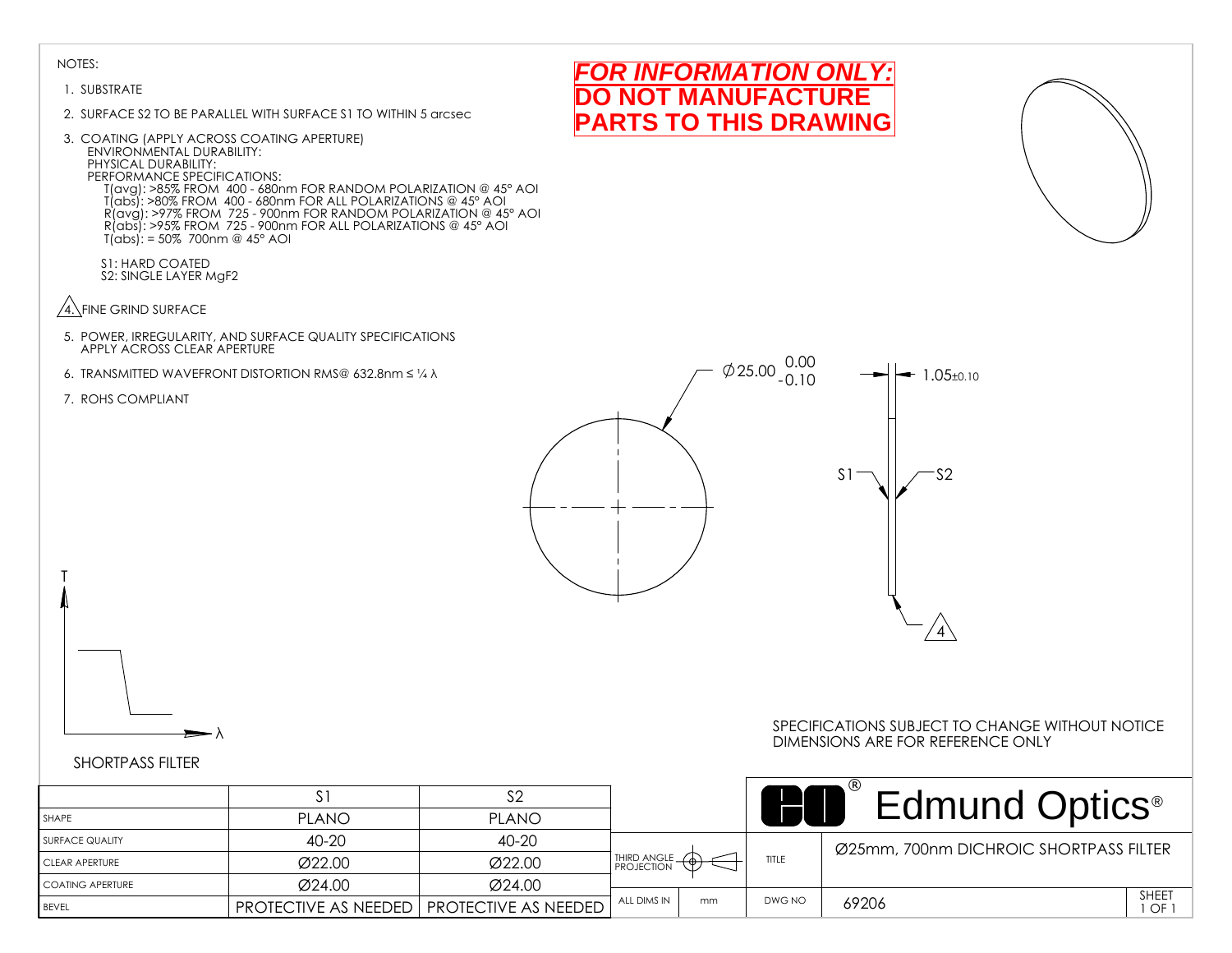#### 1. SUBSTRATE

- 2. SURFACE S2 TO BE PARALLEL WITH SURFACE S1 TO WITHIN 5 arcsec
- 3. COATING (APPLY ACROSS COATING APERTURE) ENVIRONMENTAL DURABILITY: PHYSICAL DURABILITY: PERFORMANCE SPECIFICATIONS: T(avg): >85% FROM 400 - 680nm FOR RANDOM POLARIZATION @ 45° AOI T(abs): >80% FROM 400 - 680nm FOR ALL POLARIZATIONS @ 45° AOI R(avg): >97% FROM 725 - 900nm FOR RANDOM POLARIZATION @ 45° AOI R(abs): >95% FROM 725 - 900nm FOR ALL POLARIZATIONS @ 45° AOI T(abs): = 50% 700nm @ 45° AOI

S1: HARD COATED S2: SINGLE LAYER MgF2

- $\sqrt{4}$ . FINE GRIND SURFACE
- 5. POWER, IRREGULARITY, AND SURFACE QUALITY SPECIFICATIONS APPLY ACROSS CLEAR APERTURE
- 6. TRANSMITTED WAVEFRONT DISTORTION RMS@ 632.8nm ≤ ¼ λ
- 7. ROHS COMPLIANT

T



*FOR INFORMATION ONLY:* **NOT MANUFACTURE PARTS TO THIS DRAWING**

## λ

#### SPECIFICATIONS SUBJECT TO CHANGE WITHOUT NOTICE DIMENSIONS ARE FOR REFERENCE ONLY

|                    |                             |                                     |               |    |        | <b>Edmund Optics</b> <sup>®</sup>      |                    |
|--------------------|-----------------------------|-------------------------------------|---------------|----|--------|----------------------------------------|--------------------|
| <b>SHAPE</b>       | <b>PLANO</b>                | <b>PLANO</b>                        |               |    |        |                                        |                    |
| I SURFACE QUALITY  | 40-20                       | 40-20                               |               |    |        | Ø25mm, 700nm DICHROIC SHORTPASS FILTER |                    |
| I CLEAR APERTURE   | Ø22.00                      | Ø22.00                              | THIRD ANGLE - |    | TITLE  |                                        |                    |
| I COATING APERTURE | Ø24.00                      | Ø24.00                              |               |    |        |                                        |                    |
| <b>BEVEL</b>       | <b>PROTECTIVE AS NEEDED</b> | $\overline{ }$ PROTECTIVE AS NEEDED | ALL DIMS IN   | mm | DWG NO | 69206                                  | <b>SHEET</b><br>OF |